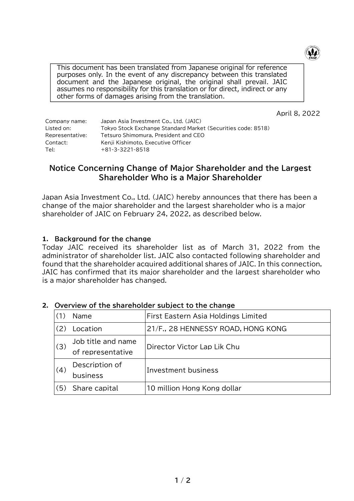

This document has been translated from Japanese original for reference purposes only. In the event of any discrepancy between this translated document and the Japanese original, the original shall prevail. JAIC assumes no responsibility for this translation or for direct, indirect or any other forms of damages arising from the translation.

April 8, 2022

| Company name:   | Japan Asia Investment Co., Ltd. (JAIC)                       |
|-----------------|--------------------------------------------------------------|
| Listed on:      | Tokyo Stock Exchange Standard Market (Securities code: 8518) |
| Representative: | Tetsuro Shimomura, President and CEO                         |
| Contact:        | Kenji Kishimoto, Executive Officer                           |
| Tel:            | $+81-3-3221-8518$                                            |

## **Notice Concerning Change of Major Shareholder and the Largest Shareholder Who is a Major Shareholder**

Japan Asia Investment Co., Ltd. (JAIC) hereby announces that there has been a change of the major shareholder and the largest shareholder who is a major shareholder of JAIC on February 24, 2022, as described below.

## **1. Background for the change**

Today JAIC received its shareholder list as of March 31, 2022 from the administrator of shareholder list. JAIC also contacted following shareholder and found that the shareholder acquired additional shares of JAIC. In this connection, JAIC has confirmed that its major shareholder and the largest shareholder who is a major shareholder has changed.

|     | Name                                    | First Eastern Asia Holdings Limited |  |
|-----|-----------------------------------------|-------------------------------------|--|
|     | Location                                | 21/F., 28 HENNESSY ROAD, HONG KONG  |  |
| (3) | Job title and name<br>of representative | Director Victor Lap Lik Chu         |  |
| (4) | Description of<br>business              | Investment business                 |  |
| (5) | Share capital                           | 10 million Hong Kong dollar         |  |

## **2. Overview of the shareholder subject to the change**